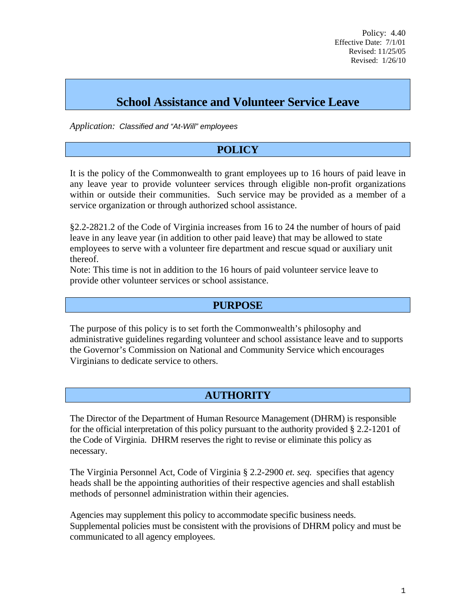Policy: 4.40 Effective Date: 7/1/01 Revised: 11/25/05 Revised: 1/26/10

# **School Assistance and Volunteer Service Leave**

*Application: Classified and "At-Will" employees*

## **POLICY**

It is the policy of the Commonwealth to grant employees up to 16 hours of paid leave in any leave year to provide volunteer services through eligible non-profit organizations within or outside their communities. Such service may be provided as a member of a service organization or through authorized school assistance.

§2.2-2821.2 of the Code of Virginia increases from 16 to 24 the number of hours of paid leave in any leave year (in addition to other paid leave) that may be allowed to state employees to serve with a volunteer fire department and rescue squad or auxiliary unit thereof.

Note: This time is not in addition to the 16 hours of paid volunteer service leave to provide other volunteer services or school assistance.

### **PURPOSE**

The purpose of this policy is to set forth the Commonwealth's philosophy and administrative guidelines regarding volunteer and school assistance leave and to supports the Governor's Commission on National and Community Service which encourages Virginians to dedicate service to others.

# **AUTHORITY**

The Director of the Department of Human Resource Management (DHRM) is responsible for the official interpretation of this policy pursuant to the authority provided § 2.2-1201 of the Code of Virginia. DHRM reserves the right to revise or eliminate this policy as necessary.

The Virginia Personnel Act, Code of Virginia § 2.2-2900 *et. seq.* specifies that agency heads shall be the appointing authorities of their respective agencies and shall establish methods of personnel administration within their agencies.

Agencies may supplement this policy to accommodate specific business needs. Supplemental policies must be consistent with the provisions of DHRM policy and must be communicated to all agency employees.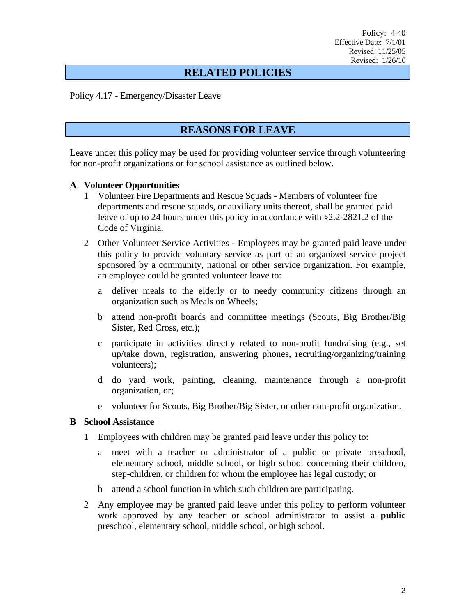### **RELATED POLICIES**

Policy 4.17 - Emergency/Disaster Leave

### **REASONS FOR LEAVE**

Leave under this policy may be used for providing volunteer service through volunteering for non-profit organizations or for school assistance as outlined below.

#### **A Volunteer Opportunities**

- 1 Volunteer Fire Departments and Rescue Squads Members of volunteer fire departments and rescue squads, or auxiliary units thereof, shall be granted paid leave of up to 24 hours under this policy in accordance with §2.2-2821.2 of the Code of Virginia.
- 2 Other Volunteer Service Activities Employees may be granted paid leave under this policy to provide voluntary service as part of an organized service project sponsored by a community, national or other service organization. For example, an employee could be granted volunteer leave to:
	- a deliver meals to the elderly or to needy community citizens through an organization such as Meals on Wheels;
	- b attend non-profit boards and committee meetings (Scouts, Big Brother/Big Sister, Red Cross, etc.);
	- c participate in activities directly related to non-profit fundraising (e.g., set up/take down, registration, answering phones, recruiting/organizing/training volunteers);
	- d do yard work, painting, cleaning, maintenance through a non-profit organization, or;
	- e volunteer for Scouts, Big Brother/Big Sister, or other non-profit organization.

#### **B School Assistance**

- 1 Employees with children may be granted paid leave under this policy to:
	- a meet with a teacher or administrator of a public or private preschool, elementary school, middle school, or high school concerning their children, step-children, or children for whom the employee has legal custody; or
	- b attend a school function in which such children are participating.
- 2 Any employee may be granted paid leave under this policy to perform volunteer work approved by any teacher or school administrator to assist a **public** preschool, elementary school, middle school, or high school.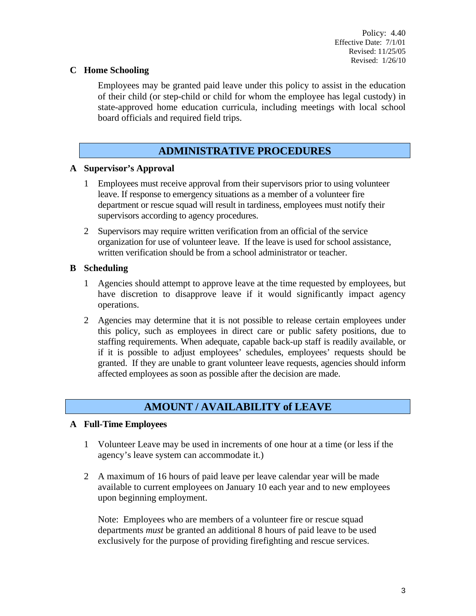### **C Home Schooling**

Employees may be granted paid leave under this policy to assist in the education of their child (or step-child or child for whom the employee has legal custody) in state-approved home education curricula, including meetings with local school board officials and required field trips.

### **ADMINISTRATIVE PROCEDURES**

### **A Supervisor's Approval**

- 1 Employees must receive approval from their supervisors prior to using volunteer leave. If response to emergency situations as a member of a volunteer fire department or rescue squad will result in tardiness, employees must notify their supervisors according to agency procedures.
- 2 Supervisors may require written verification from an official of the service organization for use of volunteer leave. If the leave is used for school assistance, written verification should be from a school administrator or teacher.

### **B Scheduling**

- 1 Agencies should attempt to approve leave at the time requested by employees, but have discretion to disapprove leave if it would significantly impact agency operations.
- 2 Agencies may determine that it is not possible to release certain employees under this policy, such as employees in direct care or public safety positions, due to staffing requirements. When adequate, capable back-up staff is readily available, or if it is possible to adjust employees' schedules, employees' requests should be granted. If they are unable to grant volunteer leave requests, agencies should inform affected employees as soon as possible after the decision are made.

# **AMOUNT / AVAILABILITY of LEAVE**

#### **A Full-Time Employees**

- 1 Volunteer Leave may be used in increments of one hour at a time (or less if the agency's leave system can accommodate it.)
- 2 A maximum of 16 hours of paid leave per leave calendar year will be made available to current employees on January 10 each year and to new employees upon beginning employment.

Note: Employees who are members of a volunteer fire or rescue squad departments *must* be granted an additional 8 hours of paid leave to be used exclusively for the purpose of providing firefighting and rescue services.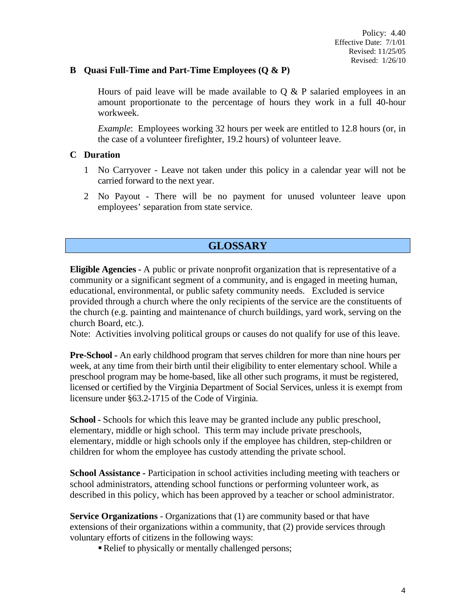#### **B Quasi Full-Time and Part-Time Employees (Q & P)**

Hours of paid leave will be made available to  $\overline{O} \& P$  salaried employees in an amount proportionate to the percentage of hours they work in a full 40-hour workweek.

*Example*: Employees working 32 hours per week are entitled to 12.8 hours (or, in the case of a volunteer firefighter, 19.2 hours) of volunteer leave.

#### **C Duration**

- 1 No Carryover Leave not taken under this policy in a calendar year will not be carried forward to the next year.
- 2 No Payout There will be no payment for unused volunteer leave upon employees' separation from state service.

### **GLOSSARY**

**Eligible Agencies -** A public or private nonprofit organization that is representative of a community or a significant segment of a community, and is engaged in meeting human, educational, environmental, or public safety community needs. Excluded is service provided through a church where the only recipients of the service are the constituents of the church (e.g. painting and maintenance of church buildings, yard work, serving on the church Board, etc.).

Note: Activities involving political groups or causes do not qualify for use of this leave.

**Pre-School -** An early childhood program that serves children for more than nine hours per week, at any time from their birth until their eligibility to enter elementary school. While a preschool program may be home-based, like all other such programs, it must be registered, licensed or certified by the Virginia Department of Social Services, unless it is exempt from licensure under §63.2-1715 of the Code of Virginia.

**School -** Schools for which this leave may be granted include any public preschool, elementary, middle or high school. This term may include private preschools, elementary, middle or high schools only if the employee has children, step-children or children for whom the employee has custody attending the private school.

**School Assistance -** Participation in school activities including meeting with teachers or school administrators, attending school functions or performing volunteer work, as described in this policy, which has been approved by a teacher or school administrator.

**Service Organizations** - Organizations that (1) are community based or that have extensions of their organizations within a community, that (2) provide services through voluntary efforts of citizens in the following ways:

Relief to physically or mentally challenged persons;